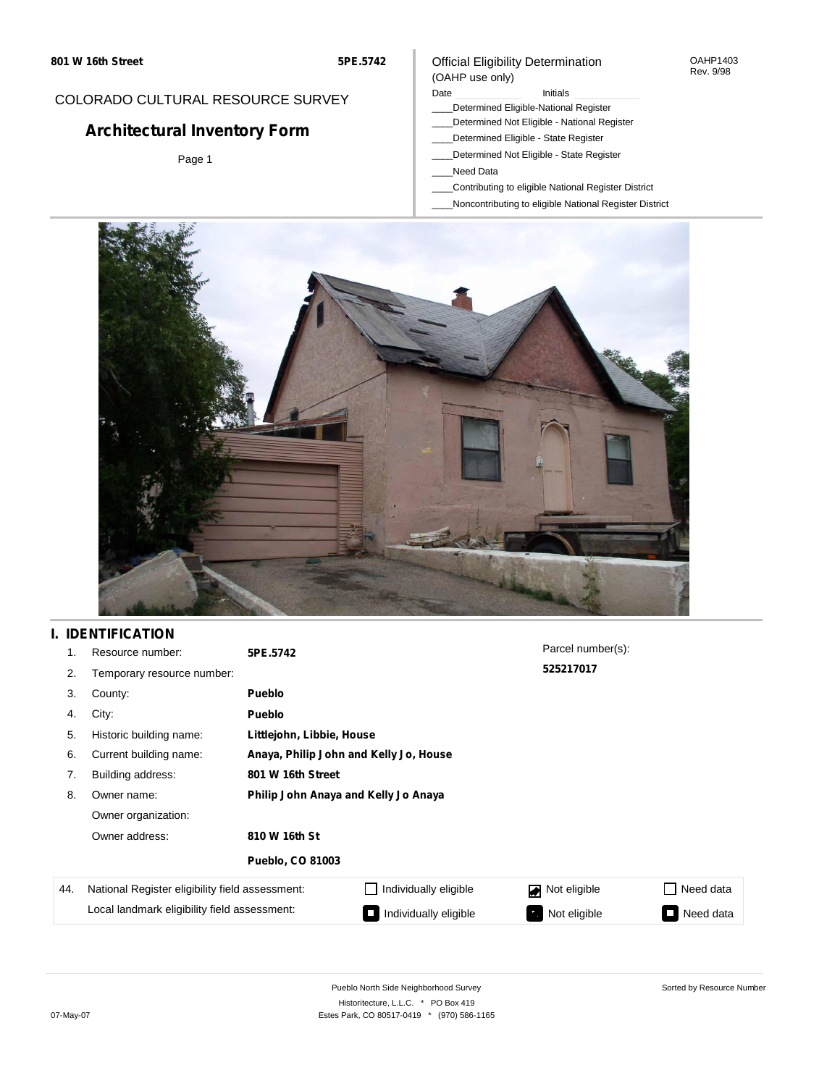#### OAHP1403 Rev. 9/98

## COLORADO CULTURAL RESOURCE SURVEY

# **Architectural Inventory Form**

Page 1

### (OAHP use only) Date **Initials** Initials

\_\_\_\_Determined Eligible-National Register

Official Eligibility Determination

- \_\_\_\_Determined Not Eligible National Register
- \_\_\_\_Determined Eligible State Register
- \_\_\_\_Determined Not Eligible State Register
- \_\_\_\_Need Data
- \_\_\_\_Contributing to eligible National Register District
- \_\_\_\_Noncontributing to eligible National Register District



## **I. IDENTIFICATION**

| 1.                                           | Resource number:                                | 5PE.5742                               |                       | Parcel number(s): |           |
|----------------------------------------------|-------------------------------------------------|----------------------------------------|-----------------------|-------------------|-----------|
| 2.                                           | Temporary resource number:                      |                                        |                       | 525217017         |           |
| 3.                                           | County:                                         | Pueblo                                 |                       |                   |           |
| 4.                                           | City:                                           | <b>Pueblo</b>                          |                       |                   |           |
| 5.                                           | Historic building name:                         | Littlejohn, Libbie, House              |                       |                   |           |
| 6.                                           | Current building name:                          | Anaya, Philip John and Kelly Jo, House |                       |                   |           |
| 7.                                           | Building address:                               | 801 W 16th Street                      |                       |                   |           |
| 8.                                           | Owner name:                                     | Philip John Anaya and Kelly Jo Anaya   |                       |                   |           |
|                                              | Owner organization:                             |                                        |                       |                   |           |
|                                              | Owner address:                                  | 810 W 16th St                          |                       |                   |           |
|                                              |                                                 | <b>Pueblo, CO 81003</b>                |                       |                   |           |
| 44.                                          | National Register eligibility field assessment: |                                        | Individually eligible | Not eligible      | Need data |
| Local landmark eligibility field assessment: |                                                 |                                        | Individually eligible | Not eligible      | Need data |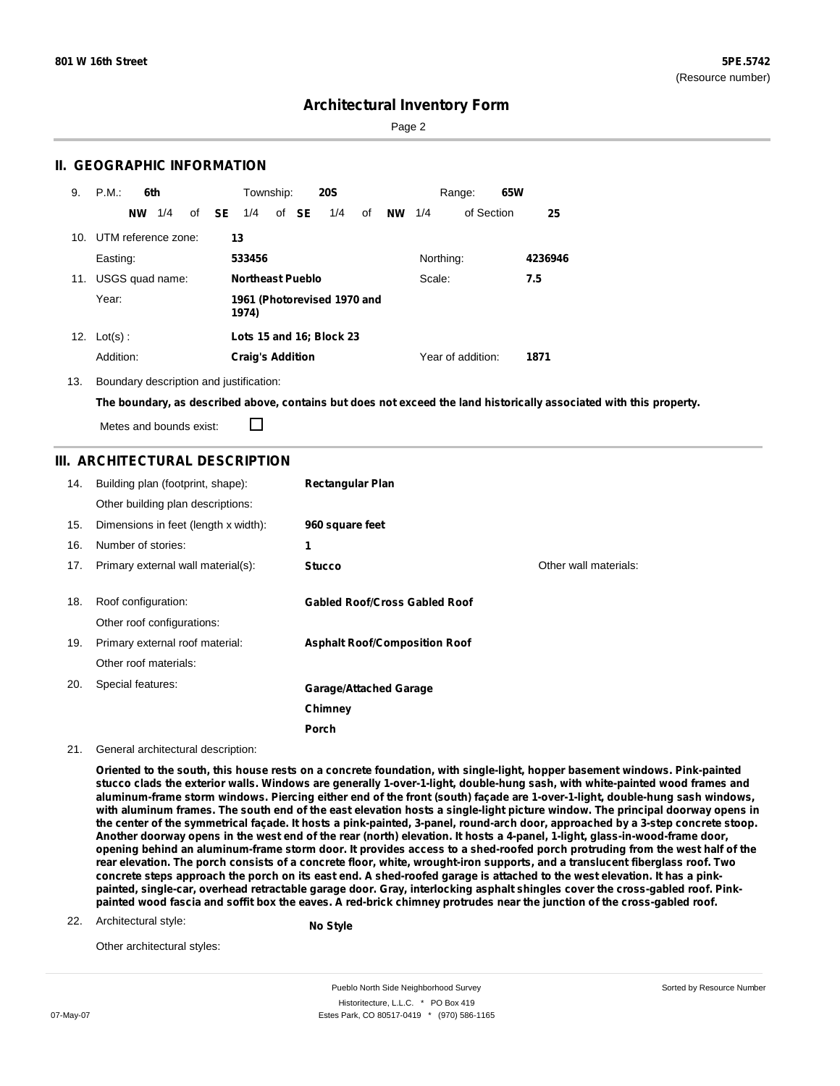Page 2

### **II. GEOGRAPHIC INFORMATION**

| 9.              | P.M.<br>6th         | Township:<br><b>20S</b>                   | 65W<br>Range:                        |
|-----------------|---------------------|-------------------------------------------|--------------------------------------|
|                 | 1/4<br><b>NW</b>    | of SE<br>of <b>SE</b><br>1/4<br>1/4<br>of | of Section<br><b>NW</b><br>25<br>1/4 |
| 10 <sub>1</sub> | UTM reference zone: | 13                                        |                                      |
|                 | Easting:            | 533456                                    | Northing:<br>4236946                 |
| 11.             | USGS quad name:     | Northeast Pueblo                          | Scale:<br>7.5                        |
|                 | Year:               | 1961 (Photorevised 1970 and<br>1974)      |                                      |
| 12.             | $Lot(s)$ :          | Lots 15 and 16; Block 23                  |                                      |
|                 | Addition:           | <b>Craig's Addition</b>                   | Year of addition:<br>1871            |

13. Boundary description and justification:

The boundary, as described above, contains but does not exceed the land historically associated with this property.

Metes and bounds exist:

П

### **III. ARCHITECTURAL DESCRIPTION**

| 14. | Building plan (footprint, shape):    | <b>Rectangular Plan</b>              |                       |
|-----|--------------------------------------|--------------------------------------|-----------------------|
|     | Other building plan descriptions:    |                                      |                       |
| 15. | Dimensions in feet (length x width): | 960 square feet                      |                       |
| 16. | Number of stories:                   | 1                                    |                       |
| 17. | Primary external wall material(s):   | <b>Stucco</b>                        | Other wall materials: |
|     |                                      |                                      |                       |
| 18. | Roof configuration:                  | <b>Gabled Roof/Cross Gabled Roof</b> |                       |
|     | Other roof configurations:           |                                      |                       |
| 19. | Primary external roof material:      | <b>Asphalt Roof/Composition Roof</b> |                       |
|     | Other roof materials:                |                                      |                       |
| 20. | Special features:                    | <b>Garage/Attached Garage</b>        |                       |
|     |                                      | Chimney                              |                       |
|     |                                      | <b>Porch</b>                         |                       |

#### 21. General architectural description:

Oriented to the south, this house rests on a concrete foundation, with single-light, hopper basement windows. Pink-painted stucco clads the exterior walls. Windows are generally 1-over-1-light, double-hung sash, with white-painted wood frames and aluminum-frame storm windows. Piercing either end of the front (south) façade are 1-over-1-light, double-hung sash windows, with aluminum frames. The south end of the east elevation hosts a single-light picture window. The principal doorway opens in the center of the symmetrical façade. It hosts a pink-painted, 3-panel, round-arch door, approached by a 3-step concrete stoop. Another doorway opens in the west end of the rear (north) elevation. It hosts a 4-panel, 1-light, glass-in-wood-frame door, opening behind an aluminum-frame storm door. It provides access to a shed-roofed porch protruding from the west half of the rear elevation. The porch consists of a concrete floor, white, wrought-iron supports, and a translucent fiberglass roof. Two concrete steps approach the porch on its east end. A shed-roofed garage is attached to the west elevation. It has a pinkpainted, single-car, overhead retractable garage door. Gray, interlocking asphalt shingles cover the cross-gabled roof. Pinkpainted wood fascia and soffit box the eaves. A red-brick chimney protrudes near the junction of the cross-gabled roof.

#### 22. Architectural style:

**No Style**

Other architectural styles:

Pueblo North Side Neighborhood Survey Historitecture, L.L.C. \* PO Box 419 07-May-07 **Estes Park, CO 80517-0419** \* (970) 586-1165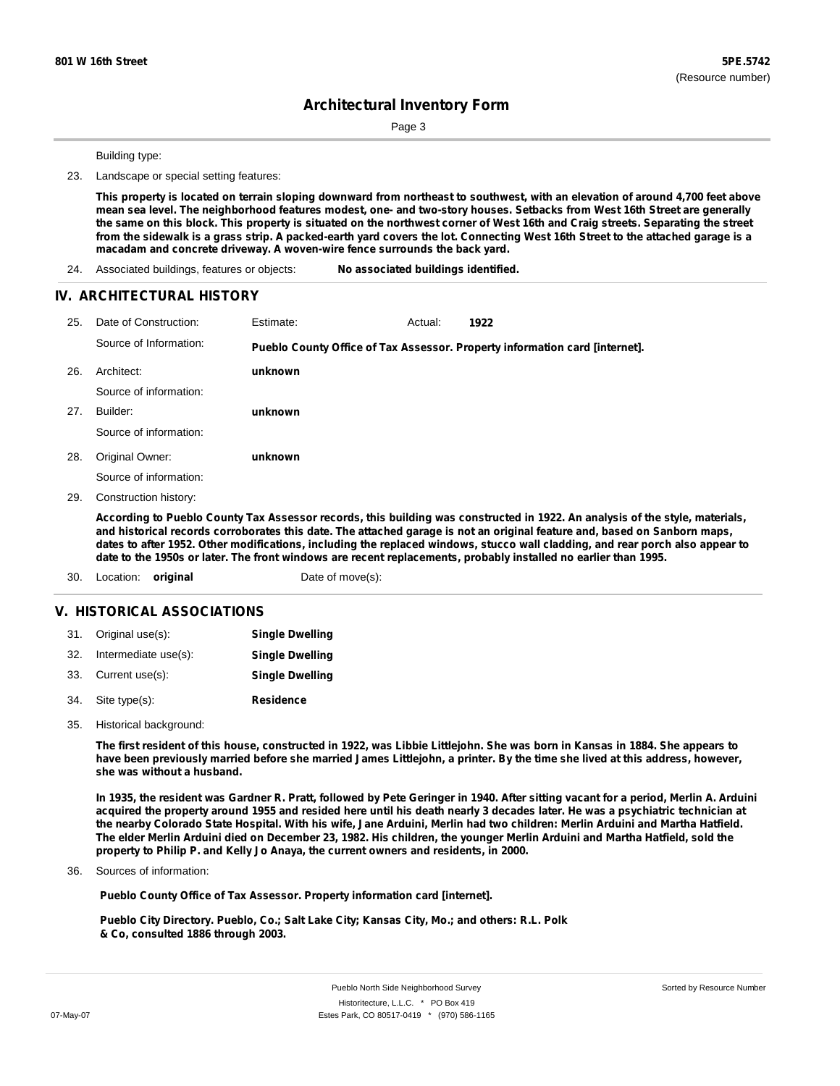Page 3

Building type:

23. Landscape or special setting features:

This property is located on terrain sloping downward from northeast to southwest, with an elevation of around 4,700 feet above mean sea level. The neighborhood features modest, one- and two-story houses. Setbacks from West 16th Street are generally the same on this block. This property is situated on the northwest corner of West 16th and Craig streets. Separating the street from the sidewalk is a grass strip. A packed-earth yard covers the lot. Connecting West 16th Street to the attached garage is a **macadam and concrete driveway. A woven-wire fence surrounds the back yard.**

24. Associated buildings, features or objects: **No associated buildings identified.**

#### **IV. ARCHITECTURAL HISTORY**

| 25. | Date of Construction:  | Estimate: | Actual: | 1922                                                                        |
|-----|------------------------|-----------|---------|-----------------------------------------------------------------------------|
|     | Source of Information: |           |         | Pueblo County Office of Tax Assessor. Property information card [internet]. |
| 26. | Architect:             | unknown   |         |                                                                             |
|     | Source of information: |           |         |                                                                             |
| 27. | Builder:               | unknown   |         |                                                                             |
|     | Source of information: |           |         |                                                                             |
| 28. | Original Owner:        | unknown   |         |                                                                             |
|     | Source of information: |           |         |                                                                             |
| 29. | Construction history:  |           |         |                                                                             |

According to Pueblo County Tax Assessor records, this building was constructed in 1922. An analysis of the style, materials, and historical records corroborates this date. The attached garage is not an original feature and, based on Sanborn maps, dates to after 1952. Other modifications, including the replaced windows, stucco wall cladding, and rear porch also appear to date to the 1950s or later. The front windows are recent replacements, probably installed no earlier than 1995.

30. Location: **original** Date of move(s):

### **V. HISTORICAL ASSOCIATIONS**

|     | 31. Original use(s): | <b>Single Dwelling</b> |
|-----|----------------------|------------------------|
| 32. | Intermediate use(s): | <b>Single Dwelling</b> |
|     | 33. Current use(s):  | <b>Single Dwelling</b> |
|     | 34. Site type(s):    | <b>Residence</b>       |

35. Historical background:

The first resident of this house, constructed in 1922, was Libbie Littlejohn. She was born in Kansas in 1884. She appears to have been previously married before she married James Littlejohn, a printer. By the time she lived at this address, however, **she was without a husband.**

In 1935, the resident was Gardner R. Pratt, followed by Pete Geringer in 1940. After sitting vacant for a period, Merlin A. Arduini acquired the property around 1955 and resided here until his death nearly 3 decades later. He was a psychiatric technician at the nearby Colorado State Hospital. With his wife, Jane Arduini, Merlin had two children: Merlin Arduini and Martha Hatfield. The elder Merlin Arduini died on December 23, 1982. His children, the younger Merlin Arduini and Martha Hatfield, sold the **property to Philip P. and Kelly Jo Anaya, the current owners and residents, in 2000.**

Sources of information: 36.

**Pueblo County Office of Tax Assessor. Property information card [internet].**

**Pueblo City Directory. Pueblo, Co.; Salt Lake City; Kansas City, Mo.; and others: R.L. Polk & Co, consulted 1886 through 2003.**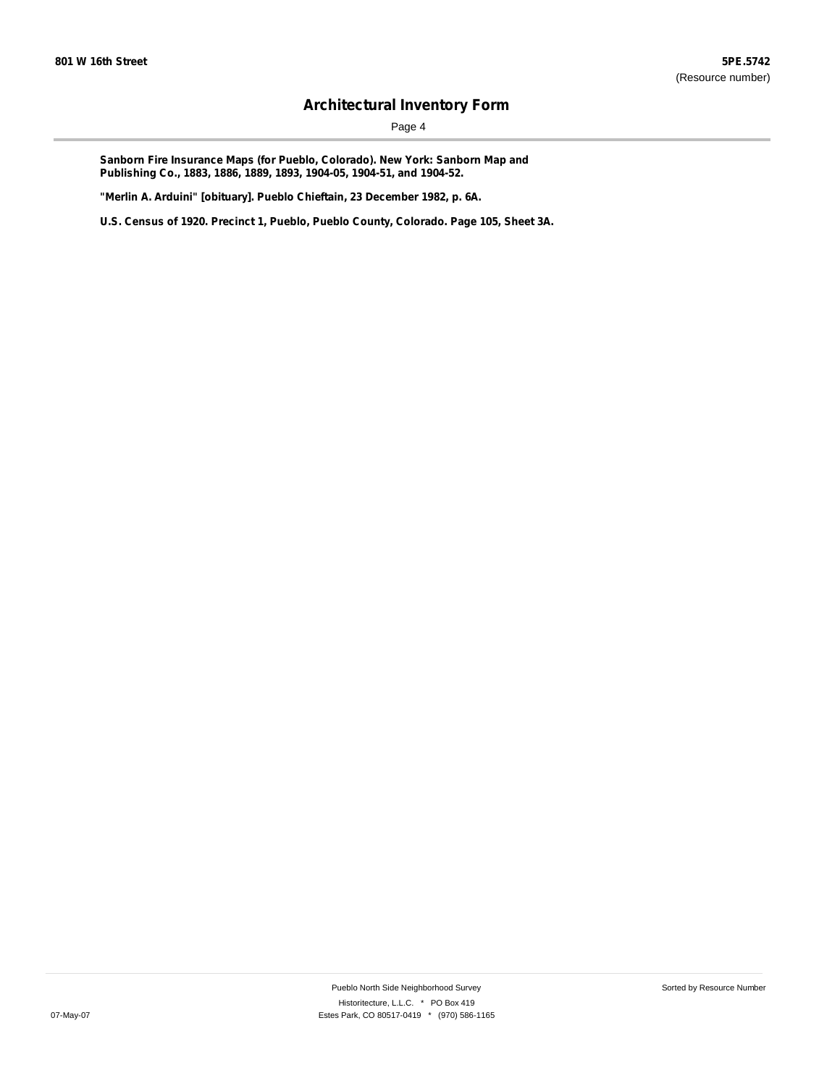Page 4

**Sanborn Fire Insurance Maps (for Pueblo, Colorado). New York: Sanborn Map and Publishing Co., 1883, 1886, 1889, 1893, 1904-05, 1904-51, and 1904-52.**

**"Merlin A. Arduini" [obituary]. Pueblo Chieftain, 23 December 1982, p. 6A.**

**U.S. Census of 1920. Precinct 1, Pueblo, Pueblo County, Colorado. Page 105, Sheet 3A.**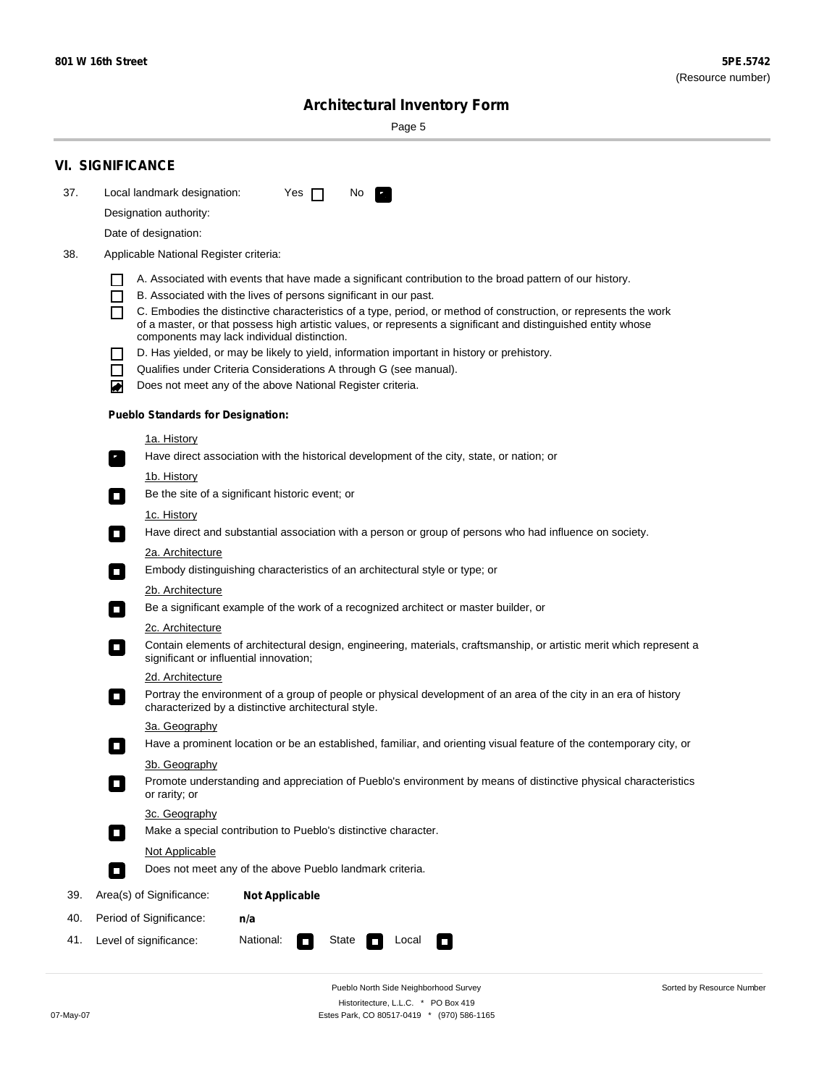Sorted by Resource Number

# **Architectural Inventory Form**

Page 5

|     | VI. SIGNIFICANCE                                                                                                                                                                                                                                                                 |  |  |
|-----|----------------------------------------------------------------------------------------------------------------------------------------------------------------------------------------------------------------------------------------------------------------------------------|--|--|
| 37. | Local landmark designation:<br>Yes $\Box$<br>No.<br>к,                                                                                                                                                                                                                           |  |  |
|     | Designation authority:                                                                                                                                                                                                                                                           |  |  |
|     | Date of designation:                                                                                                                                                                                                                                                             |  |  |
| 38. | Applicable National Register criteria:                                                                                                                                                                                                                                           |  |  |
|     | A. Associated with events that have made a significant contribution to the broad pattern of our history.                                                                                                                                                                         |  |  |
|     | B. Associated with the lives of persons significant in our past.                                                                                                                                                                                                                 |  |  |
|     | C. Embodies the distinctive characteristics of a type, period, or method of construction, or represents the work<br>of a master, or that possess high artistic values, or represents a significant and distinguished entity whose<br>components may lack individual distinction. |  |  |
|     | D. Has yielded, or may be likely to yield, information important in history or prehistory.                                                                                                                                                                                       |  |  |
|     | Qualifies under Criteria Considerations A through G (see manual).                                                                                                                                                                                                                |  |  |
|     | Does not meet any of the above National Register criteria.<br>♦                                                                                                                                                                                                                  |  |  |
|     | <b>Pueblo Standards for Designation:</b>                                                                                                                                                                                                                                         |  |  |
|     | <u>1a. History</u><br>Have direct association with the historical development of the city, state, or nation; or<br>$\overline{\phantom{a}}$ .                                                                                                                                    |  |  |
|     | 1b. History                                                                                                                                                                                                                                                                      |  |  |
|     | Be the site of a significant historic event; or<br>$\Box$                                                                                                                                                                                                                        |  |  |
|     | 1c. History                                                                                                                                                                                                                                                                      |  |  |
|     | Have direct and substantial association with a person or group of persons who had influence on society.<br>$\Box$                                                                                                                                                                |  |  |
|     | 2a. Architecture                                                                                                                                                                                                                                                                 |  |  |
|     | Embody distinguishing characteristics of an architectural style or type; or<br>$\Box$                                                                                                                                                                                            |  |  |
|     | 2b. Architecture                                                                                                                                                                                                                                                                 |  |  |
|     | Be a significant example of the work of a recognized architect or master builder, or<br>$\Box$                                                                                                                                                                                   |  |  |
|     | 2c. Architecture                                                                                                                                                                                                                                                                 |  |  |
|     | Contain elements of architectural design, engineering, materials, craftsmanship, or artistic merit which represent a<br>О<br>significant or influential innovation;                                                                                                              |  |  |
|     | 2d. Architecture                                                                                                                                                                                                                                                                 |  |  |
|     | Portray the environment of a group of people or physical development of an area of the city in an era of history<br>$\Box$<br>characterized by a distinctive architectural style.                                                                                                |  |  |
|     | 3a. Geography                                                                                                                                                                                                                                                                    |  |  |
|     | Have a prominent location or be an established, familiar, and orienting visual feature of the contemporary city, or<br>П                                                                                                                                                         |  |  |
|     | 3b. Geography                                                                                                                                                                                                                                                                    |  |  |
|     | Promote understanding and appreciation of Pueblo's environment by means of distinctive physical characteristics<br>П<br>or rarity; or                                                                                                                                            |  |  |
|     | 3c. Geography                                                                                                                                                                                                                                                                    |  |  |
|     | Make a special contribution to Pueblo's distinctive character.<br>П                                                                                                                                                                                                              |  |  |
|     | Not Applicable                                                                                                                                                                                                                                                                   |  |  |
|     | Does not meet any of the above Pueblo landmark criteria.<br>$\overline{\phantom{a}}$                                                                                                                                                                                             |  |  |
| 39. | Area(s) of Significance:<br><b>Not Applicable</b>                                                                                                                                                                                                                                |  |  |
| 40. | Period of Significance:<br>n/a                                                                                                                                                                                                                                                   |  |  |
| 41. | Level of significance:<br>National:<br>State<br>Local<br>О<br>$\Box$                                                                                                                                                                                                             |  |  |

Pueblo North Side Neighborhood Survey Historitecture, L.L.C. \* PO Box 419 07-May-07 Estes Park, CO 80517-0419 \* (970) 586-1165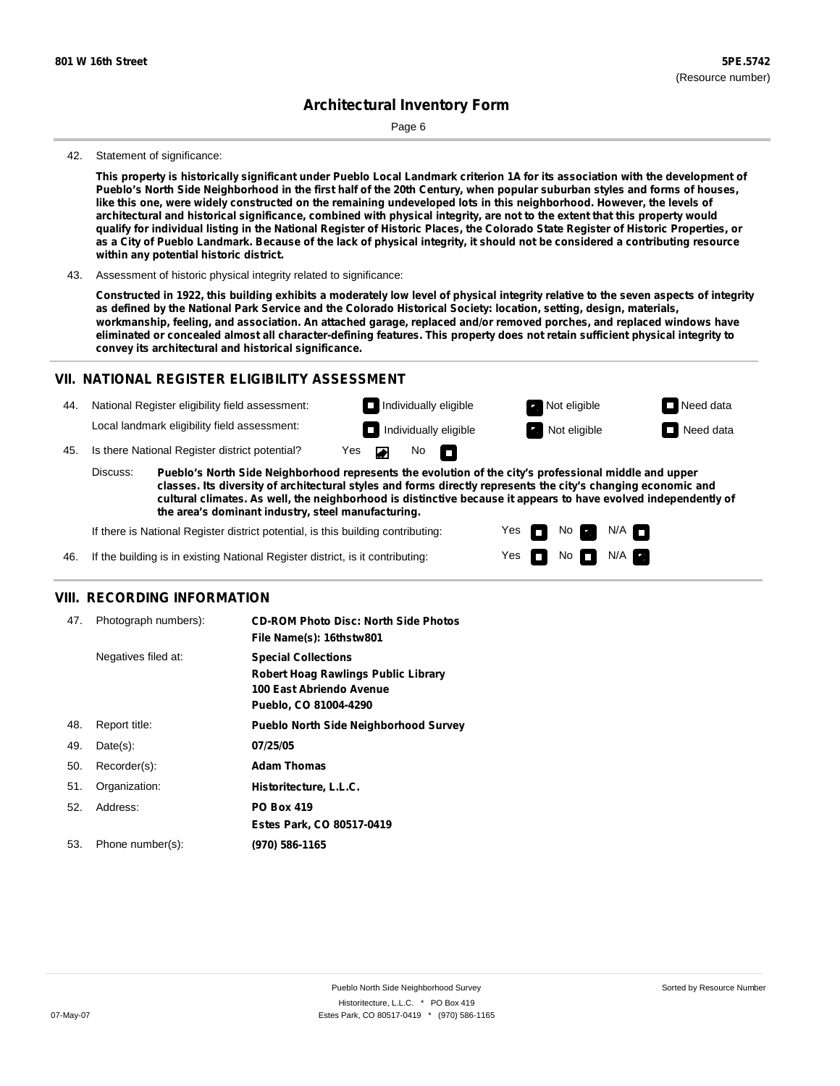Page 6

#### 42. Statement of significance:

This property is historically significant under Pueblo Local Landmark criterion 1A for its association with the development of Pueblo's North Side Neighborhood in the first half of the 20th Century, when popular suburban styles and forms of houses, like this one, were widely constructed on the remaining undeveloped lots in this neighborhood. However, the levels of architectural and historical significance, combined with physical integrity, are not to the extent that this property would qualify for individual listing in the National Register of Historic Places, the Colorado State Register of Historic Properties, or as a City of Pueblo Landmark. Because of the lack of physical integrity, it should not be considered a contributing resource **within any potential historic district.**

43. Assessment of historic physical integrity related to significance:

Constructed in 1922, this building exhibits a moderately low level of physical integrity relative to the seven aspects of integrity as defined by the National Park Service and the Colorado Historical Society: location, setting, design, materials, **workmanship, feeling, and association. An attached garage, replaced and/or removed porches, and replaced windows have** eliminated or concealed almost all character-defining features. This property does not retain sufficient physical integrity to **convey its architectural and historical significance.**

#### **VII. NATIONAL REGISTER ELIGIBILITY ASSESSMENT**

44. National Register eligibility field assessment: Local landmark eligibility field assessment:

**Individually eligible Not eligible** Not eligible **Need data** 

No<sub>D</sub>

**Individually eligible Not eligible** Not eligible **Need data** 

45. Is there National Register district potential? Yes

**Pueblo's North Side Neighborhood represents the evolution of the city's professional middle and upper classes. Its diversity of architectural styles and forms directly represents the city's changing economic and cultural climates. As well, the neighborhood is distinctive because it appears to have evolved independently of the area's dominant industry, steel manufacturing.** Discuss:

 $\blacksquare$ 

Yes Yes No

 $No$   $N/A$ 

N/A

If there is National Register district potential, is this building contributing:

46. If the building is in existing National Register district, is it contributing:

#### **VIII. RECORDING INFORMATION**

| 47. | Photograph numbers): | <b>CD-ROM Photo Disc: North Side Photos</b><br>File Name(s): 16thstw801                                                       |
|-----|----------------------|-------------------------------------------------------------------------------------------------------------------------------|
|     | Negatives filed at:  | <b>Special Collections</b><br><b>Robert Hoag Rawlings Public Library</b><br>100 East Abriendo Avenue<br>Pueblo, CO 81004-4290 |
| 48. | Report title:        | <b>Pueblo North Side Neighborhood Survey</b>                                                                                  |
| 49. | $Date(s)$ :          | 07/25/05                                                                                                                      |
| 50. | Recorder(s):         | <b>Adam Thomas</b>                                                                                                            |
| 51. | Organization:        | Historitecture, L.L.C.                                                                                                        |
| 52. | Address:             | <b>PO Box 419</b>                                                                                                             |
|     |                      | Estes Park, CO 80517-0419                                                                                                     |
| 53. | Phone number(s):     | (970) 586-1165                                                                                                                |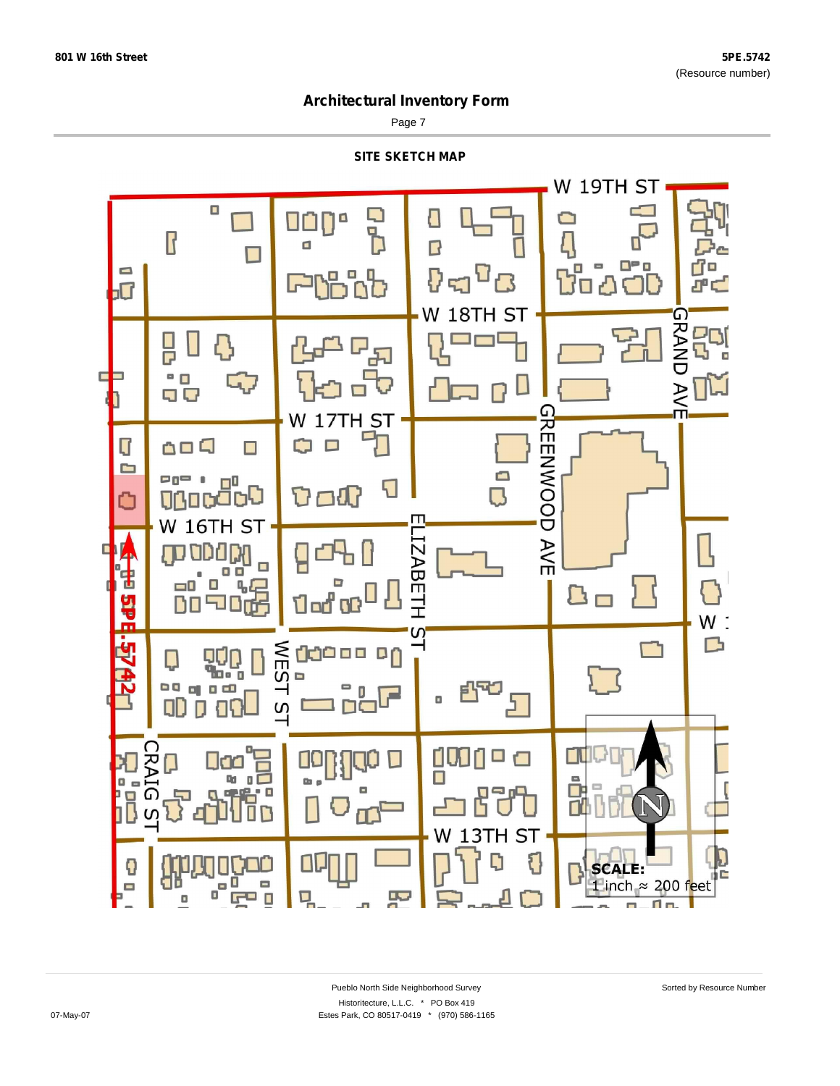$\overline{\mathsf{I}}$ 

 $\Box$ 

 $\sqrt{ }$ 

r7o

a°d

П

## **Architectural Inventory Form**

Page 7

**SITE SKETCH MAP**